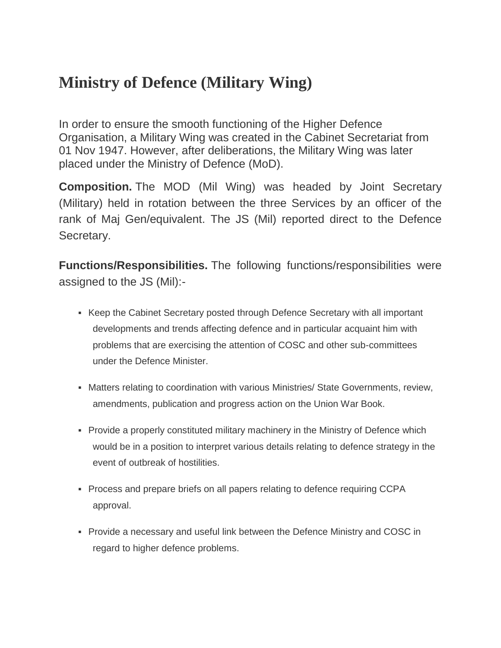## **Ministry of Defence (Military Wing)**

In order to ensure the smooth functioning of the Higher Defence Organisation, a Military Wing was created in the Cabinet Secretariat from 01 Nov 1947. However, after deliberations, the Military Wing was later placed under the Ministry of Defence (MoD).

**Composition.** The MOD (Mil Wing) was headed by Joint Secretary (Military) held in rotation between the three Services by an officer of the rank of Maj Gen/equivalent. The JS (Mil) reported direct to the Defence Secretary.

**Functions/Responsibilities.** The following functions/responsibilities were assigned to the JS (Mil):-

- **EXECT** Keep the Cabinet Secretary posted through Defence Secretary with all important developments and trends affecting defence and in particular acquaint him with problems that are exercising the attention of COSC and other sub-committees under the Defence Minister.
- **Matters relating to coordination with various Ministries/ State Governments, review,** amendments, publication and progress action on the Union War Book.
- Provide a properly constituted military machinery in the Ministry of Defence which would be in a position to interpret various details relating to defence strategy in the event of outbreak of hostilities.
- Process and prepare briefs on all papers relating to defence requiring CCPA approval.
- Provide a necessary and useful link between the Defence Ministry and COSC in regard to higher defence problems.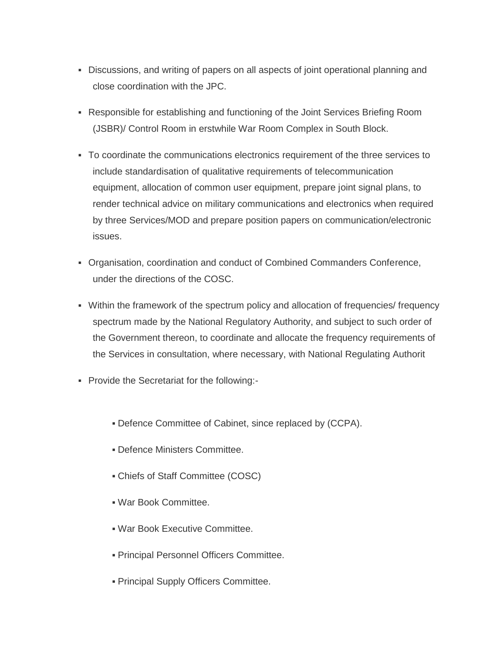- Discussions, and writing of papers on all aspects of joint operational planning and close coordination with the JPC.
- Responsible for establishing and functioning of the Joint Services Briefing Room (JSBR)/ Control Room in erstwhile War Room Complex in South Block.
- To coordinate the communications electronics requirement of the three services to include standardisation of qualitative requirements of telecommunication equipment, allocation of common user equipment, prepare joint signal plans, to render technical advice on military communications and electronics when required by three Services/MOD and prepare position papers on communication/electronic issues.
- Organisation, coordination and conduct of Combined Commanders Conference, under the directions of the COSC.
- Within the framework of the spectrum policy and allocation of frequencies/ frequency spectrum made by the National Regulatory Authority, and subject to such order of the Government thereon, to coordinate and allocate the frequency requirements of the Services in consultation, where necessary, with National Regulating Authorit
- Provide the Secretariat for the following:-
	- Defence Committee of Cabinet, since replaced by (CCPA).
	- Defence Ministers Committee.
	- Chiefs of Staff Committee (COSC)
	- War Book Committee.
	- War Book Executive Committee.
	- **Principal Personnel Officers Committee.**
	- **Principal Supply Officers Committee.**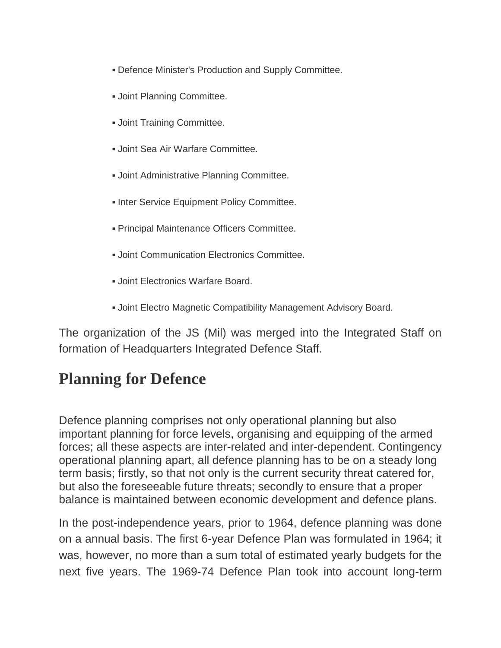- **Defence Minister's Production and Supply Committee.**
- Joint Planning Committee.
- **.** Joint Training Committee.
- Joint Sea Air Warfare Committee.
- **. Joint Administrative Planning Committee.**
- **. Inter Service Equipment Policy Committee.**
- **Principal Maintenance Officers Committee.**
- **.** Joint Communication Electronics Committee.
- Joint Electronics Warfare Board.
- **. Joint Electro Magnetic Compatibility Management Advisory Board.**

The organization of the JS (Mil) was merged into the Integrated Staff on formation of Headquarters Integrated Defence Staff.

## **Planning for Defence**

Defence planning comprises not only operational planning but also important planning for force levels, organising and equipping of the armed forces; all these aspects are inter-related and inter-dependent. Contingency operational planning apart, all defence planning has to be on a steady long term basis; firstly, so that not only is the current security threat catered for, but also the foreseeable future threats; secondly to ensure that a proper balance is maintained between economic development and defence plans.

In the post-independence years, prior to 1964, defence planning was done on a annual basis. The first 6-year Defence Plan was formulated in 1964; it was, however, no more than a sum total of estimated yearly budgets for the next five years. The 1969-74 Defence Plan took into account long-term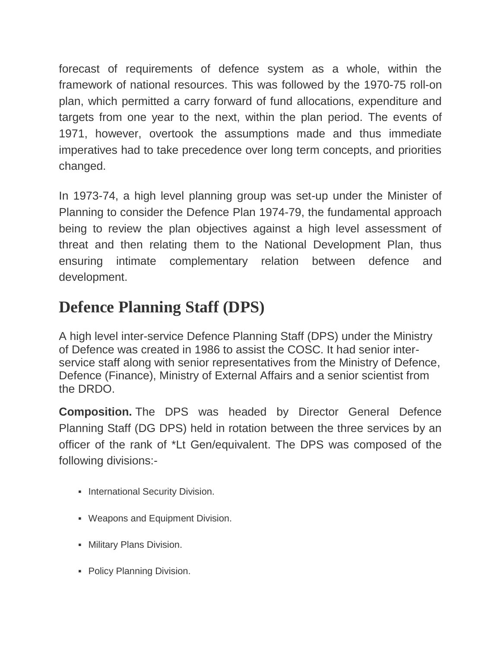forecast of requirements of defence system as a whole, within the framework of national resources. This was followed by the 1970-75 roll-on plan, which permitted a carry forward of fund allocations, expenditure and targets from one year to the next, within the plan period. The events of 1971, however, overtook the assumptions made and thus immediate imperatives had to take precedence over long term concepts, and priorities changed.

In 1973-74, a high level planning group was set-up under the Minister of Planning to consider the Defence Plan 1974-79, the fundamental approach being to review the plan objectives against a high level assessment of threat and then relating them to the National Development Plan, thus ensuring intimate complementary relation between defence and development.

## **Defence Planning Staff (DPS)**

A high level inter-service Defence Planning Staff (DPS) under the Ministry of Defence was created in 1986 to assist the COSC. It had senior interservice staff along with senior representatives from the Ministry of Defence, Defence (Finance), Ministry of External Affairs and a senior scientist from the DRDO.

**Composition.** The DPS was headed by Director General Defence Planning Staff (DG DPS) held in rotation between the three services by an officer of the rank of \*Lt Gen/equivalent. The DPS was composed of the following divisions:-

- **International Security Division.**
- Weapons and Equipment Division.
- **Military Plans Division.**
- Policy Planning Division.